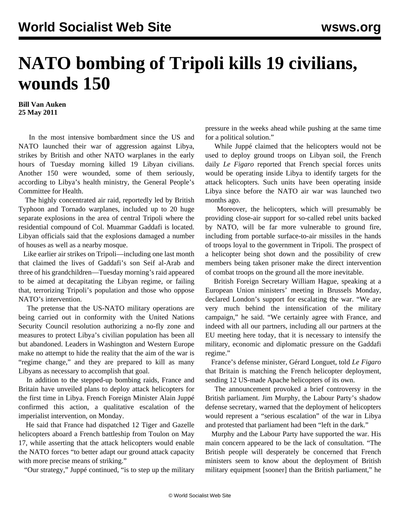## **NATO bombing of Tripoli kills 19 civilians, wounds 150**

**Bill Van Auken 25 May 2011**

 In the most intensive bombardment since the US and NATO launched their war of aggression against Libya, strikes by British and other NATO warplanes in the early hours of Tuesday morning killed 19 Libyan civilians. Another 150 were wounded, some of them seriously, according to Libya's health ministry, the General People's Committee for Health.

 The highly concentrated air raid, reportedly led by British Typhoon and Tornado warplanes, included up to 20 huge separate explosions in the area of central Tripoli where the residential compound of Col. Muammar Gaddafi is located. Libyan officials said that the explosions damaged a number of houses as well as a nearby mosque.

 Like earlier air strikes on Tripoli—including one last month that claimed the lives of Gaddafi's son Seif al-Arab and three of his grandchildren—Tuesday morning's raid appeared to be aimed at decapitating the Libyan regime, or failing that, terrorizing Tripoli's population and those who oppose NATO's intervention.

 The pretense that the US-NATO military operations are being carried out in conformity with the United Nations Security Council resolution authorizing a no-fly zone and measures to protect Libya's civilian population has been all but abandoned. Leaders in Washington and Western Europe make no attempt to hide the reality that the aim of the war is "regime change," and they are prepared to kill as many Libyans as necessary to accomplish that goal.

 In addition to the stepped-up bombing raids, France and Britain have unveiled plans to deploy attack helicopters for the first time in Libya. French Foreign Minister Alain Juppé confirmed this action, a qualitative escalation of the imperialist intervention, on Monday.

 He said that France had dispatched 12 Tiger and Gazelle helicopters aboard a French battleship from Toulon on May 17, while asserting that the attack helicopters would enable the NATO forces "to better adapt our ground attack capacity with more precise means of striking."

"Our strategy," Juppé continued, "is to step up the military

pressure in the weeks ahead while pushing at the same time for a political solution."

 While Juppé claimed that the helicopters would not be used to deploy ground troops on Libyan soil, the French daily *Le Figaro* reported that French special forces units would be operating inside Libya to identify targets for the attack helicopters. Such units have been operating inside Libya since before the NATO air war was launched two months ago.

 Moreover, the helicopters, which will presumably be providing close-air support for so-called rebel units backed by NATO, will be far more vulnerable to ground fire, including from portable surface-to-air missiles in the hands of troops loyal to the government in Tripoli. The prospect of a helicopter being shot down and the possibility of crew members being taken prisoner make the direct intervention of combat troops on the ground all the more inevitable.

 British Foreign Secretary William Hague, speaking at a European Union ministers' meeting in Brussels Monday, declared London's support for escalating the war. "We are very much behind the intensification of the military campaign," he said. "We certainly agree with France, and indeed with all our partners, including all our partners at the EU meeting here today, that it is necessary to intensify the military, economic and diplomatic pressure on the Gaddafi regime."

 France's defense minister, Gérard Longuet, told *Le Figaro* that Britain is matching the French helicopter deployment, sending 12 US-made Apache helicopters of its own.

 The announcement provoked a brief controversy in the British parliament. Jim Murphy, the Labour Party's shadow defense secretary, warned that the deployment of helicopters would represent a "serious escalation" of the war in Libya and protested that parliament had been "left in the dark."

 Murphy and the Labour Party have supported the war. His main concern appeared to be the lack of consultation. "The British people will desperately be concerned that French ministers seem to know about the deployment of British military equipment [sooner] than the British parliament," he